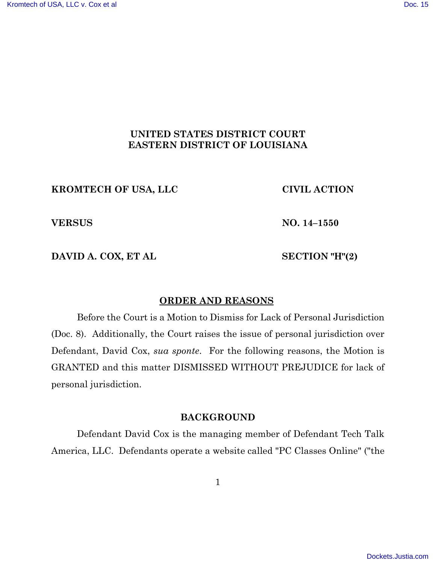# **UNITED STATES DISTRICT COURT EASTERN DISTRICT OF LOUISIANA**

# **KROMTECH OF USA, LLC CIVIL ACTION**

**VERSUS NO. 14–1550**

**DAVID A. COX, ET AL SECTION "H"(2)**

### **ORDER AND REASONS**

Before the Court is a Motion to Dismiss for Lack of Personal Jurisdiction (Doc. 8). Additionally, the Court raises the issue of personal jurisdiction over Defendant, David Cox, *sua sponte*. For the following reasons, the Motion is GRANTED and this matter DISMISSED WITHOUT PREJUDICE for lack of personal jurisdiction.

### **BACKGROUND**

Defendant David Cox is the managing member of Defendant Tech Talk America, LLC. Defendants operate a website called "PC Classes Online" ("the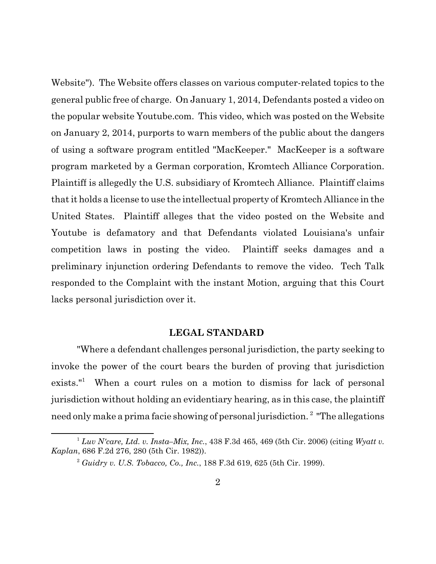Website"). The Website offers classes on various computer-related topics to the general public free of charge. On January 1, 2014, Defendants posted a video on the popular website Youtube.com. This video, which was posted on the Website on January 2, 2014, purports to warn members of the public about the dangers of using a software program entitled "MacKeeper." MacKeeper is a software program marketed by a German corporation, Kromtech Alliance Corporation. Plaintiff is allegedly the U.S. subsidiary of Kromtech Alliance. Plaintiff claims thatit holds a license to use the intellectual property of Kromtech Alliance in the United States. Plaintiff alleges that the video posted on the Website and Youtube is defamatory and that Defendants violated Louisiana's unfair competition laws in posting the video. Plaintiff seeks damages and a preliminary injunction ordering Defendants to remove the video. Tech Talk responded to the Complaint with the instant Motion, arguing that this Court lacks personal jurisdiction over it.

#### **LEGAL STANDARD**

"Where a defendant challenges personal jurisdiction, the party seeking to invoke the power of the court bears the burden of proving that jurisdiction exists."<sup>1</sup> When a court rules on a motion to dismiss for lack of personal jurisdiction without holding an evidentiary hearing, as in this case, the plaintiff need only make a prima facie showing of personal jurisdiction.<sup>2</sup> "The allegations

<sup>1</sup> *Luv N'care, Ltd. v. Insta–Mix, Inc.*, 438 F.3d 465, 469 (5th Cir. 2006) (citing *Wyatt v. Kaplan*, 686 F.2d 276, 280 (5th Cir. 1982)).

<sup>2</sup> *Guidry v. U.S. Tobacco, Co., Inc.*, 188 F.3d 619, 625 (5th Cir. 1999).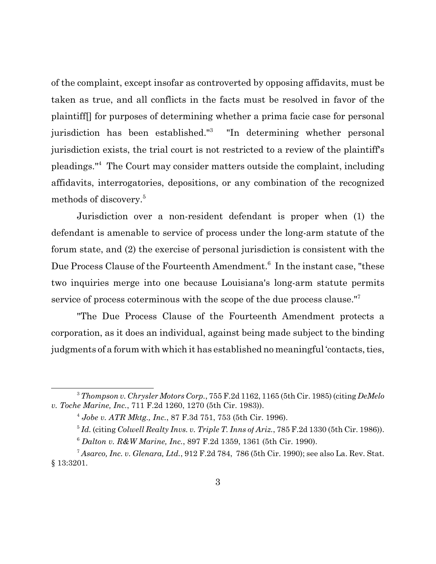of the complaint, except insofar as controverted by opposing affidavits, must be taken as true, and all conflicts in the facts must be resolved in favor of the plaintiff[] for purposes of determining whether a prima facie case for personal jurisdiction has been established."<sup>3</sup> "In determining whether personal jurisdiction exists, the trial court is not restricted to a review of the plaintiff's pleadings."<sup>4</sup> The Court may consider matters outside the complaint, including affidavits, interrogatories, depositions, or any combination of the recognized methods of discovery.<sup>5</sup>

Jurisdiction over a non-resident defendant is proper when (1) the defendant is amenable to service of process under the long-arm statute of the forum state, and (2) the exercise of personal jurisdiction is consistent with the Due Process Clause of the Fourteenth Amendment.<sup>6</sup> In the instant case, "these two inquiries merge into one because Louisiana's long-arm statute permits service of process coterminous with the scope of the due process clause."<sup>7</sup>

"The Due Process Clause of the Fourteenth Amendment protects a corporation, as it does an individual, against being made subject to the binding judgments of a forum with which it has established no meaningful 'contacts, ties,

<sup>3</sup>*Thompson v. Chrysler Motors Corp.*, 755 F.2d 1162, 1165 (5th Cir. 1985) (citing *DeMelo v. Toche Marine, Inc.*, 711 F.2d 1260, 1270 (5th Cir. 1983)).

<sup>4</sup> *Jobe v. ATR Mktg., Inc.*, 87 F.3d 751, 753 (5th Cir. 1996).

<sup>5</sup> *Id.* (citing *Colwell Realty Invs. v. Triple T. Inns of Ariz.*, 785 F.2d 1330 (5th Cir. 1986)).

<sup>6</sup> *Dalton v. R&W Marine, Inc.*, 897 F.2d 1359, 1361 (5th Cir. 1990).

<sup>7</sup> *Asarco, Inc. v. Glenara, Ltd.*, 912 F.2d 784, 786 (5th Cir. 1990); see also La. Rev. Stat. § 13:3201.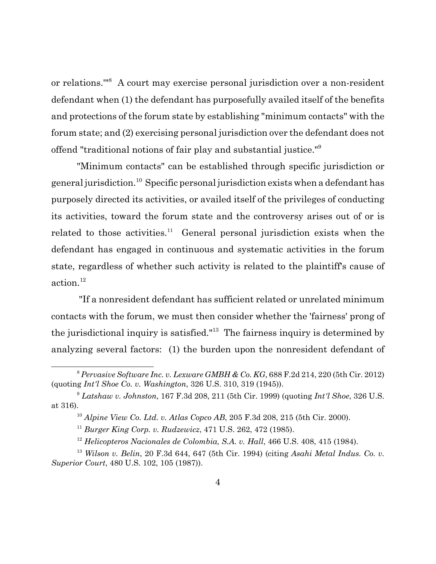or relations.'"<sup>8</sup> A court may exercise personal jurisdiction over a non-resident defendant when (1) the defendant has purposefully availed itself of the benefits and protections of the forum state by establishing "minimum contacts" with the forum state; and (2) exercising personal jurisdiction over the defendant does not offend "traditional notions of fair play and substantial justice."<sup>9</sup>

"Minimum contacts" can be established through specific jurisdiction or general jurisdiction.<sup>10</sup> Specific personal jurisdiction exists when a defendant has purposely directed its activities, or availed itself of the privileges of conducting its activities, toward the forum state and the controversy arises out of or is related to those activities.<sup>11</sup> General personal jurisdiction exists when the defendant has engaged in continuous and systematic activities in the forum state, regardless of whether such activity is related to the plaintiff's cause of action.<sup>12</sup>

 "If a nonresident defendant has sufficient related or unrelated minimum contacts with the forum, we must then consider whether the 'fairness' prong of the jurisdictional inquiry is satisfied."<sup>13</sup> The fairness inquiry is determined by analyzing several factors: (1) the burden upon the nonresident defendant of

<sup>8</sup> *Pervasive Software Inc. v. Lexware GMBH & Co. KG*, 688 F.2d 214, 220 (5th Cir. 2012) (quoting *Int'l Shoe Co. v. Washington*, 326 U.S. 310, 319 (1945)).

<sup>9</sup> *Latshaw v. Johnston*, 167 F.3d 208, 211 (5th Cir. 1999) (quoting *Int'l Shoe*, 326 U.S. at 316).

<sup>10</sup> *Alpine View Co. Ltd. v. Atlas Copco AB*, 205 F.3d 208, 215 (5th Cir. 2000).

<sup>11</sup> *Burger King Corp. v. Rudzewicz*, 471 U.S. 262, 472 (1985).

<sup>&</sup>lt;sup>12</sup> *Helicopteros Nacionales de Colombia, S.A. v. Hall*, 466 U.S. 408, 415 (1984).

<sup>13</sup> *Wilson v. Belin*, 20 F.3d 644, 647 (5th Cir. 1994) (citing *Asahi Metal Indus. Co. v. Superior Court*, 480 U.S. 102, 105 (1987)).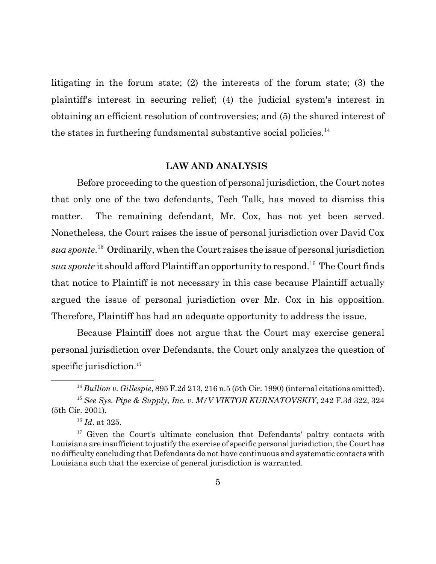litigating in the forum state; (2) the interests of the forum state; (3) the plaintiff's interest in securing relief; (4) the judicial system's interest in obtaining an efficient resolution of controversies; and (5) the shared interest of the states in furthering fundamental substantive social policies. $^{14}$ 

### **LAW AND ANALYSIS**

Before proceeding to the question of personal jurisdiction, the Court notes that only one of the two defendants, Tech Talk, has moved to dismiss this matter. The remaining defendant, Mr. Cox, has not yet been served. Nonetheless, the Court raises the issue of personal jurisdiction over David Cox *sua sponte*. <sup>15</sup> Ordinarily, when the Court raises the issue of personal jurisdiction *sua sponte* it should afford Plaintiff an opportunity to respond.<sup>16</sup> The Court finds that notice to Plaintiff is not necessary in this case because Plaintiff actually argued the issue of personal jurisdiction over Mr. Cox in his opposition. Therefore, Plaintiff has had an adequate opportunity to address the issue.

Because Plaintiff does not argue that the Court may exercise general personal jurisdiction over Defendants, the Court only analyzes the question of specific jurisdiction.<sup>17</sup>

<sup>14</sup> *Bullion v. Gillespie*, 895 F.2d 213, 216 n.5 (5th Cir. 1990) (internal citations omitted). <sup>15</sup> *See Sys. Pipe & Supply, Inc. v. M/V VIKTOR KURNATOVSKIY*, 242 F.3d 322, 324 (5th Cir. 2001).

<sup>16</sup> *Id*. at 325.

<sup>&</sup>lt;sup>17</sup> Given the Court's ultimate conclusion that Defendants' paltry contacts with Louisiana are insufficient to justify the exercise of specific personal jurisdiction, the Court has no difficulty concluding that Defendants do not have continuous and systematic contacts with Louisiana such that the exercise of general jurisdiction is warranted.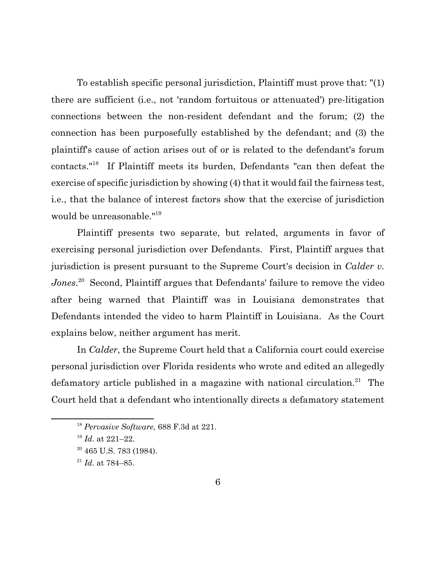To establish specific personal jurisdiction, Plaintiff must prove that: "(1) there are sufficient (i.e., not 'random fortuitous or attenuated') pre-litigation connections between the non-resident defendant and the forum; (2) the connection has been purposefully established by the defendant; and (3) the plaintiff's cause of action arises out of or is related to the defendant's forum contacts."<sup>18</sup> If Plaintiff meets its burden, Defendants "can then defeat the exercise of specific jurisdiction by showing (4) that it would fail the fairness test, i.e., that the balance of interest factors show that the exercise of jurisdiction would be unreasonable."<sup>19</sup>

Plaintiff presents two separate, but related, arguments in favor of exercising personal jurisdiction over Defendants. First, Plaintiff argues that jurisdiction is present pursuant to the Supreme Court's decision in *Calder v.* Jones.<sup>20</sup> Second, Plaintiff argues that Defendants' failure to remove the video after being warned that Plaintiff was in Louisiana demonstrates that Defendants intended the video to harm Plaintiff in Louisiana. As the Court explains below, neither argument has merit.

In *Calder*, the Supreme Court held that a California court could exercise personal jurisdiction over Florida residents who wrote and edited an allegedly defamatory article published in a magazine with national circulation.<sup>21</sup> The Court held that a defendant who intentionally directs a defamatory statement

<sup>18</sup> *Pervasive Software*, 688 F.3d at 221.

<sup>19</sup> *Id.* at 221–22.

 $20$  465 U.S. 783 (1984).

<sup>21</sup> *Id*. at 784–85.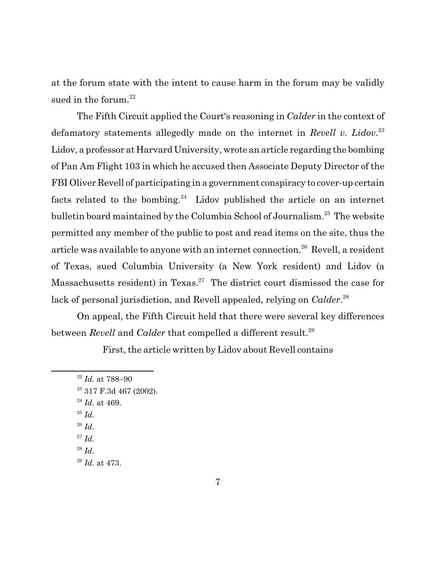at the forum state with the intent to cause harm in the forum may be validly sued in the forum. $^{22}$ 

The Fifth Circuit applied the Court's reasoning in *Calder* in the context of defamatory statements allegedly made on the internet in *Revell v. Lidov*. 23 Lidov, a professor at Harvard University, wrote an article regarding the bombing of Pan Am Flight 103 in which he accused then Associate Deputy Director of the FBI Oliver Revell of participating in a government conspiracy to cover-up certain facts related to the bombing.<sup>24</sup> Lidov published the article on an internet bulletin board maintained by the Columbia School of Journalism.<sup>25</sup> The website permitted any member of the public to post and read items on the site, thus the article was available to anyone with an internet connection.<sup>26</sup> Revell, a resident of Texas, sued Columbia University (a New York resident) and Lidov (a Massachusetts resident) in Texas.<sup>27</sup> The district court dismissed the case for lack of personal jurisdiction, and Revell appealed, relying on *Calder*. 28

On appeal, the Fifth Circuit held that there were several key differences between *Revell* and *Calder* that compelled a different result.<sup>29</sup>

First, the article written by Lidov about Revell contains

<sup>22</sup> *Id*. at 788–90 <sup>23</sup> 317 F.3d 467 (2002). <sup>24</sup> *Id*. at 469. <sup>25</sup> *Id*. <sup>26</sup> *Id*.  $^{27}$  *Id.* <sup>28</sup> *Id*. <sup>29</sup> *Id*. at 473.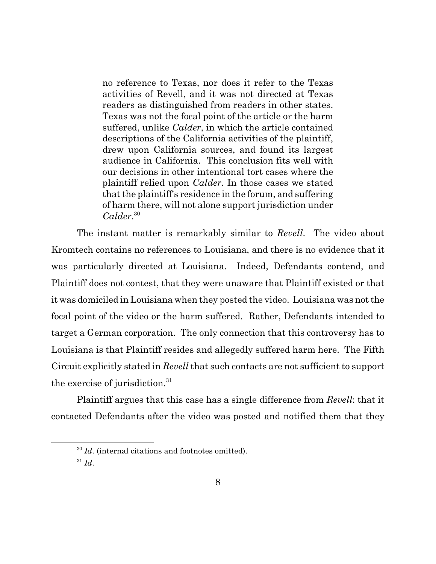no reference to Texas, nor does it refer to the Texas activities of Revell, and it was not directed at Texas readers as distinguished from readers in other states. Texas was not the focal point of the article or the harm suffered, unlike *Calder*, in which the article contained descriptions of the California activities of the plaintiff, drew upon California sources, and found its largest audience in California. This conclusion fits well with our decisions in other intentional tort cases where the plaintiff relied upon *Calder*. In those cases we stated that the plaintiff's residence in the forum, and suffering of harm there, will not alone support jurisdiction under *Calder*. 30

The instant matter is remarkably similar to *Revell*. The video about Kromtech contains no references to Louisiana, and there is no evidence that it was particularly directed at Louisiana. Indeed, Defendants contend, and Plaintiff does not contest, that they were unaware that Plaintiff existed or that it was domiciled in Louisiana when they posted the video. Louisiana was not the focal point of the video or the harm suffered. Rather, Defendants intended to target a German corporation. The only connection that this controversy has to Louisiana is that Plaintiff resides and allegedly suffered harm here. The Fifth Circuit explicitly stated in *Revell* that such contacts are not sufficient to support the exercise of jurisdiction.<sup>31</sup>

Plaintiff argues that this case has a single difference from *Revell*: that it contacted Defendants after the video was posted and notified them that they

<sup>&</sup>lt;sup>30</sup> *Id.* (internal citations and footnotes omitted).

<sup>31</sup> *Id*.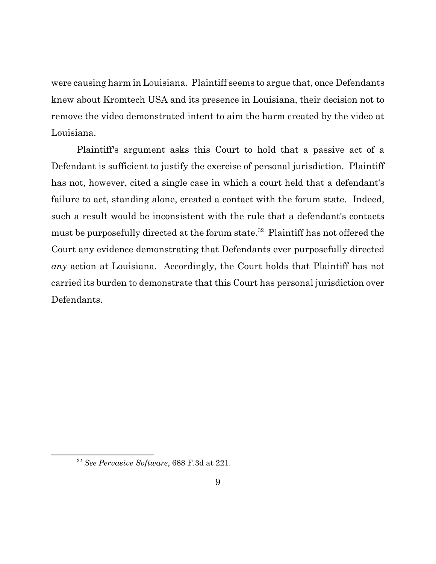were causing harm in Louisiana. Plaintiff seems to argue that, once Defendants knew about Kromtech USA and its presence in Louisiana, their decision not to remove the video demonstrated intent to aim the harm created by the video at Louisiana.

Plaintiff's argument asks this Court to hold that a passive act of a Defendant is sufficient to justify the exercise of personal jurisdiction. Plaintiff has not, however, cited a single case in which a court held that a defendant's failure to act, standing alone, created a contact with the forum state. Indeed, such a result would be inconsistent with the rule that a defendant's contacts must be purposefully directed at the forum state.<sup>32</sup> Plaintiff has not offered the Court any evidence demonstrating that Defendants ever purposefully directed *any* action at Louisiana. Accordingly, the Court holds that Plaintiff has not carried its burden to demonstrate that this Court has personal jurisdiction over Defendants.

<sup>32</sup> *See Pervasive Software*, 688 F.3d at 221.